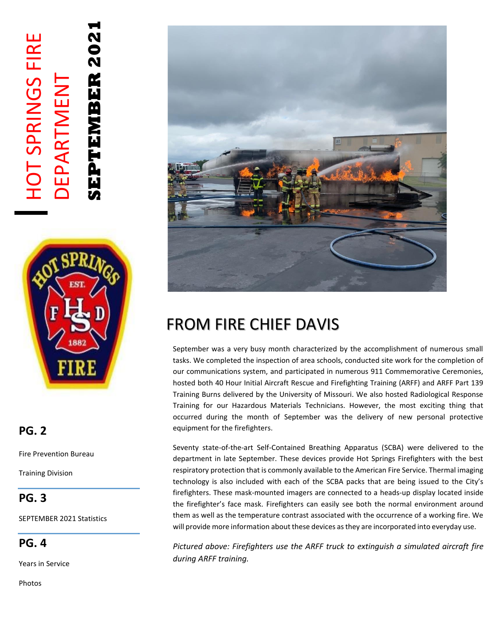# **SEPTEMBER 2021** HOT SPRINGS FIRE 202<br>20 **HOT SPRINGS FIRE** EPTEMBER DEPARTMENT DEPARTMENT



### **PG. 2**

Fire Prevention Bureau

Training Division

### **PG. 3**

SEPTEMBER 2021 Statistics

**PG. 4**

Years in Service

Photos



## FROM FIRE CHIEF DAVIS

September was a very busy month characterized by the accomplishment of numerous small tasks. We completed the inspection of area schools, conducted site work for the completion of our communications system, and participated in numerous 911 Commemorative Ceremonies, hosted both 40 Hour Initial Aircraft Rescue and Firefighting Training (ARFF) and ARFF Part 139 Training Burns delivered by the University of Missouri. We also hosted Radiological Response Training for our Hazardous Materials Technicians. However, the most exciting thing that occurred during the month of September was the delivery of new personal protective equipment for the firefighters.

Seventy state-of-the-art Self-Contained Breathing Apparatus (SCBA) were delivered to the department in late September. These devices provide Hot Springs Firefighters with the best respiratory protection that is commonly available to the American Fire Service. Thermal imaging technology is also included with each of the SCBA packs that are being issued to the City's firefighters. These mask-mounted imagers are connected to a heads-up display located inside the firefighter's face mask. Firefighters can easily see both the normal environment around them as well as the temperature contrast associated with the occurrence of a working fire. We will provide more information about these devices as they are incorporated into everyday use.

*Pictured above: Firefighters use the ARFF truck to extinguish a simulated aircraft fire during ARFF training.*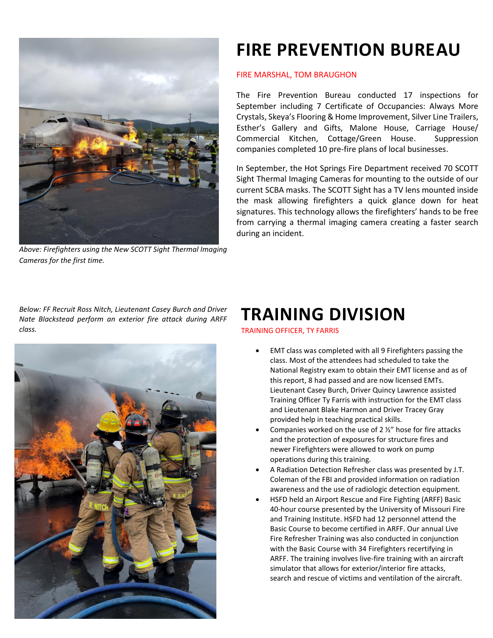

*Above: Firefighters using the New SCOTT Sight Thermal Imaging Cameras for the first time.* 

# **FIRE PREVENTION BUREAU**

#### FIRE MARSHAL, TOM BRAUGHON

The Fire Prevention Bureau conducted 17 inspections for September including 7 Certificate of Occupancies: Always More Crystals, Skeya's Flooring & Home Improvement, Silver Line Trailers, Esther's Gallery and Gifts, Malone House, Carriage House/ Commercial Kitchen, Cottage/Green House. Suppression companies completed 10 pre-fire plans of local businesses.

In September, the Hot Springs Fire Department received 70 SCOTT Sight Thermal Imaging Cameras for mounting to the outside of our current SCBA masks. The SCOTT Sight has a TV lens mounted inside the mask allowing firefighters a quick glance down for heat signatures. This technology allows the firefighters' hands to be free from carrying a thermal imaging camera creating a faster search during an incident.

*Below: FF Recruit Ross Nitch, Lieutenant Casey Burch and Driver Nate Blackstead perform an exterior fire attack during ARFF class.*



### **TRAINING DIVISION**

TRAINING OFFICER, TY FARRIS

- EMT class was completed with all 9 Firefighters passing the class. Most of the attendees had scheduled to take the National Registry exam to obtain their EMT license and as of this report, 8 had passed and are now licensed EMTs. Lieutenant Casey Burch, Driver Quincy Lawrence assisted Training Officer Ty Farris with instruction for the EMT class and Lieutenant Blake Harmon and Driver Tracey Gray provided help in teaching practical skills.
- Companies worked on the use of 2  $\frac{1}{2}$ " hose for fire attacks and the protection of exposures for structure fires and newer Firefighters were allowed to work on pump operations during this training.
- A Radiation Detection Refresher class was presented by J.T. Coleman of the FBI and provided information on radiation awareness and the use of radiologic detection equipment.
- HSFD held an Airport Rescue and Fire Fighting (ARFF) Basic 40-hour course presented by the University of Missouri Fire and Training Institute. HSFD had 12 personnel attend the Basic Course to become certified in ARFF. Our annual Live Fire Refresher Training was also conducted in conjunction with the Basic Course with 34 Firefighters recertifying in ARFF. The training involves live-fire training with an aircraft simulator that allows for exterior/interior fire attacks, search and rescue of victims and ventilation of the aircraft.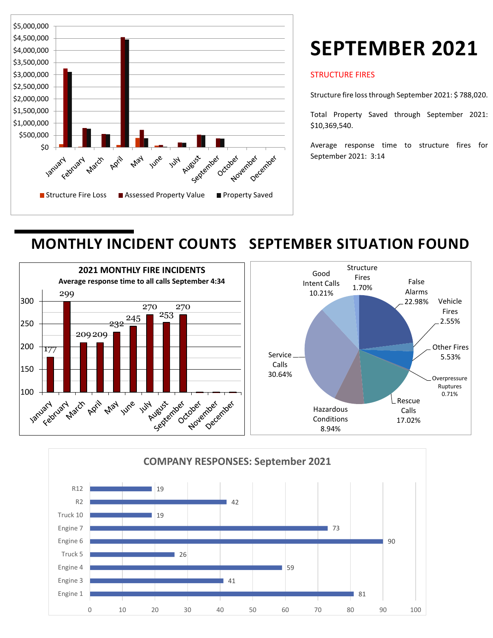

# **SEPTEMBER 2021**

#### STRUCTURE FIRES

Structure fire loss through September 2021: \$ 788,020.

Total Property Saved through September 2021: \$10,369,540.

Average response time to structure fires for September 2021: 3:14

## **MONTHLY INCIDENT COUNTS SEPTEMBER SITUATION FOUND**